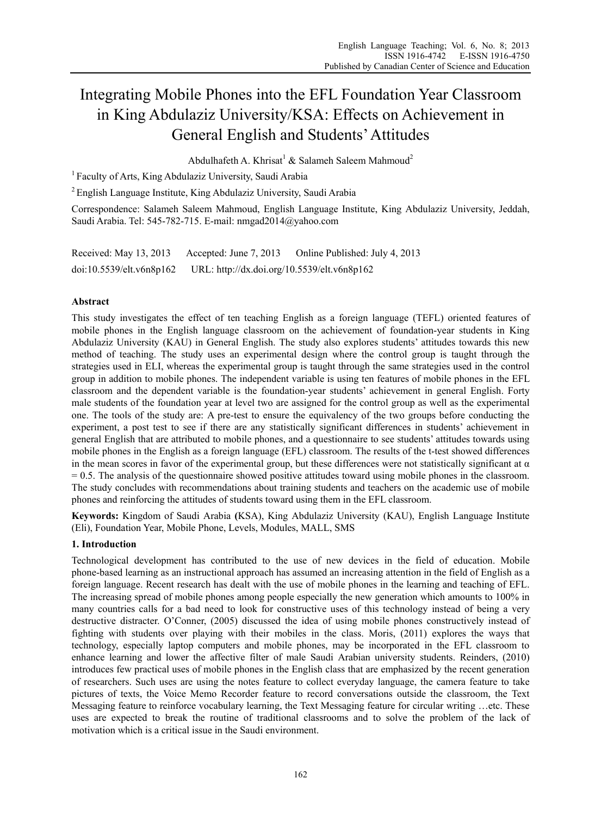# Integrating Mobile Phones into the EFL Foundation Year Classroom in King Abdulaziz University/KSA: Effects on Achievement in General English and Students' Attitudes

Abdulhafeth A. Khrisat<sup>1</sup> & Salameh Saleem Mahmoud<sup>2</sup>

<sup>1</sup> Faculty of Arts, King Abdulaziz University, Saudi Arabia

2 English Language Institute, King Abdulaziz University, Saudi Arabia

Correspondence: Salameh Saleem Mahmoud, English Language Institute, King Abdulaziz University, Jeddah, Saudi Arabia. Tel: 545-782-715. E-mail: nmgad2014@yahoo.com

Received: May 13, 2013 Accepted: June 7, 2013 Online Published: July 4, 2013 doi:10.5539/elt.v6n8p162 URL: http://dx.doi.org/10.5539/elt.v6n8p162

# **Abstract**

This study investigates the effect of ten teaching English as a foreign language (TEFL) oriented features of mobile phones in the English language classroom on the achievement of foundation-year students in King Abdulaziz University (KAU) in General English. The study also explores students' attitudes towards this new method of teaching. The study uses an experimental design where the control group is taught through the strategies used in ELI, whereas the experimental group is taught through the same strategies used in the control group in addition to mobile phones. The independent variable is using ten features of mobile phones in the EFL classroom and the dependent variable is the foundation-year students' achievement in general English. Forty male students of the foundation year at level two are assigned for the control group as well as the experimental one. The tools of the study are: A pre-test to ensure the equivalency of the two groups before conducting the experiment, a post test to see if there are any statistically significant differences in students' achievement in general English that are attributed to mobile phones, and a questionnaire to see students' attitudes towards using mobile phones in the English as a foreign language (EFL) classroom. The results of the t-test showed differences in the mean scores in favor of the experimental group, but these differences were not statistically significant at  $\alpha$  $= 0.5$ . The analysis of the questionnaire showed positive attitudes toward using mobile phones in the classroom. The study concludes with recommendations about training students and teachers on the academic use of mobile phones and reinforcing the attitudes of students toward using them in the EFL classroom.

**Keywords:** Kingdom of Saudi Arabia **(**KSA), King Abdulaziz University (KAU), English Language Institute (Eli), Foundation Year, Mobile Phone, Levels, Modules, MALL, SMS

## **1. Introduction**

Technological development has contributed to the use of new devices in the field of education. Mobile phone-based learning as an instructional approach has assumed an increasing attention in the field of English as a foreign language. Recent research has dealt with the use of mobile phones in the learning and teaching of EFL. The increasing spread of mobile phones among people especially the new generation which amounts to 100% in many countries calls for a bad need to look for constructive uses of this technology instead of being a very destructive distracter. O'Conner, (2005) discussed the idea of using mobile phones constructively instead of fighting with students over playing with their mobiles in the class. Moris, (2011) explores the ways that technology, especially laptop computers and mobile phones, may be incorporated in the EFL classroom to enhance learning and lower the affective filter of male Saudi Arabian university students. Reinders, (2010) introduces few practical uses of mobile phones in the English class that are emphasized by the recent generation of researchers. Such uses are using the notes feature to collect everyday language, the camera feature to take pictures of texts, the Voice Memo Recorder feature to record conversations outside the classroom, the Text Messaging feature to reinforce vocabulary learning, the Text Messaging feature for circular writing …etc. These uses are expected to break the routine of traditional classrooms and to solve the problem of the lack of motivation which is a critical issue in the Saudi environment.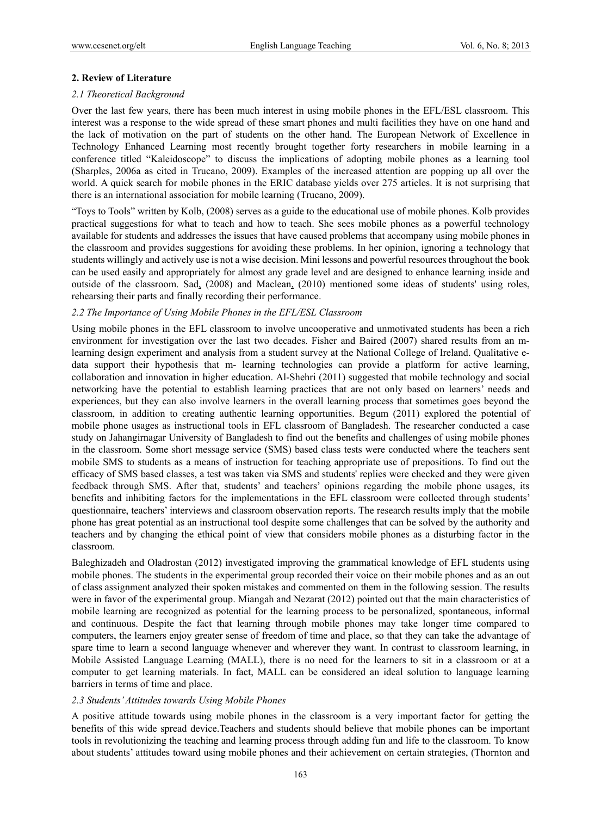## **2. Review of Literature**

## *2.1 Theoretical Background*

Over the last few years, there has been much interest in using mobile phones in the EFL/ESL classroom. This interest was a response to the wide spread of these smart phones and multi facilities they have on one hand and the lack of motivation on the part of students on the other hand. The European Network of Excellence in Technology Enhanced Learning most recently brought together forty researchers in mobile learning in a conference titled "Kaleidoscope" to discuss the implications of adopting mobile phones as a learning tool (Sharples, 2006a as cited in Trucano, 2009). Examples of the increased attention are popping up all over the world. A quick search for mobile phones in the ERIC database yields over 275 articles. It is not surprising that there is an international association for mobile learning (Trucano, 2009).

"Toys to Tools" written by Kolb, (2008) serves as a guide to the educational use of mobile phones. Kolb provides practical suggestions for what to teach and how to teach. She sees mobile phones as a powerful technology available for students and addresses the issues that have caused problems that accompany using mobile phones in the classroom and provides suggestions for avoiding these problems. In her opinion, ignoring a technology that students willingly and actively use is not a wise decision. Mini lessons and powerful resources throughout the book can be used easily and appropriately for almost any grade level and are designed to enhance learning inside and outside of the classroom. Sad, (2008) and Maclean, (2010) mentioned some ideas of students' using roles, rehearsing their parts and finally recording their performance.

## *2.2 The Importance of Using Mobile Phones in the EFL/ESL Classroom*

Using mobile phones in the EFL classroom to involve uncooperative and unmotivated students has been a rich environment for investigation over the last two decades. Fisher and Baired (2007) shared results from an mlearning design experiment and analysis from a student survey at the National College of Ireland. Qualitative edata support their hypothesis that m- learning technologies can provide a platform for active learning, collaboration and innovation in higher education. Al-Shehri (2011) suggested that mobile technology and social networking have the potential to establish learning practices that are not only based on learners' needs and experiences, but they can also involve learners in the overall learning process that sometimes goes beyond the classroom, in addition to creating authentic learning opportunities. Begum (2011) explored the potential of mobile phone usages as instructional tools in EFL classroom of Bangladesh. The researcher conducted a case study on Jahangirnagar University of Bangladesh to find out the benefits and challenges of using mobile phones in the classroom. Some short message service (SMS) based class tests were conducted where the teachers sent mobile SMS to students as a means of instruction for teaching appropriate use of prepositions. To find out the efficacy of SMS based classes, a test was taken via SMS and students' replies were checked and they were given feedback through SMS. After that, students' and teachers' opinions regarding the mobile phone usages, its benefits and inhibiting factors for the implementations in the EFL classroom were collected through students' questionnaire, teachers' interviews and classroom observation reports. The research results imply that the mobile phone has great potential as an instructional tool despite some challenges that can be solved by the authority and teachers and by changing the ethical point of view that considers mobile phones as a disturbing factor in the classroom.

Baleghizadeh and Oladrostan (2012) investigated improving the grammatical knowledge of EFL students using mobile phones. The students in the experimental group recorded their voice on their mobile phones and as an out of class assignment analyzed their spoken mistakes and commented on them in the following session. The results were in favor of the experimental group. Miangah and Nezarat (2012) pointed out that the main characteristics of mobile learning are recognized as potential for the learning process to be personalized, spontaneous, informal and continuous. Despite the fact that learning through mobile phones may take longer time compared to computers, the learners enjoy greater sense of freedom of time and place, so that they can take the advantage of spare time to learn a second language whenever and wherever they want. In contrast to classroom learning, in Mobile Assisted Language Learning (MALL), there is no need for the learners to sit in a classroom or at a computer to get learning materials. In fact, MALL can be considered an ideal solution to language learning barriers in terms of time and place.

## *2.3 Students' Attitudes towards Using Mobile Phones*

A positive attitude towards using mobile phones in the classroom is a very important factor for getting the benefits of this wide spread device.Teachers and students should believe that mobile phones can be important tools in revolutionizing the teaching and learning process through adding fun and life to the classroom. To know about students' attitudes toward using mobile phones and their achievement on certain strategies, (Thornton and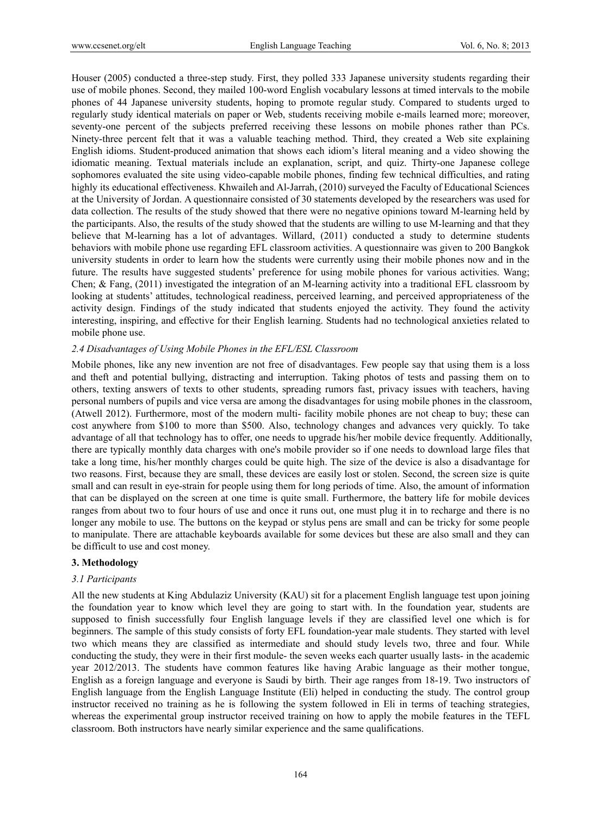Houser (2005) conducted a three-step study. First, they polled 333 Japanese university students regarding their use of mobile phones. Second, they mailed 100-word English vocabulary lessons at timed intervals to the mobile phones of 44 Japanese university students, hoping to promote regular study. Compared to students urged to regularly study identical materials on paper or Web, students receiving mobile e-mails learned more; moreover, seventy-one percent of the subjects preferred receiving these lessons on mobile phones rather than PCs. Ninety-three percent felt that it was a valuable teaching method. Third, they created a Web site explaining English idioms. Student-produced animation that shows each idiom's literal meaning and a video showing the idiomatic meaning. Textual materials include an explanation, script, and quiz. Thirty-one Japanese college sophomores evaluated the site using video-capable mobile phones, finding few technical difficulties, and rating highly its educational effectiveness. Khwaileh and Al-Jarrah, (2010) surveyed the Faculty of Educational Sciences at the University of Jordan. A questionnaire consisted of 30 statements developed by the researchers was used for data collection. The results of the study showed that there were no negative opinions toward M-learning held by the participants. Also, the results of the study showed that the students are willing to use M-learning and that they believe that M-learning has a lot of advantages. Willard, (2011) conducted a study to determine students behaviors with mobile phone use regarding EFL classroom activities. A questionnaire was given to 200 Bangkok university students in order to learn how the students were currently using their mobile phones now and in the future. The results have suggested students' preference for using mobile phones for various activities. Wang; Chen; & Fang, (2011) investigated the integration of an M-learning activity into a traditional EFL classroom by looking at students' attitudes, technological readiness, perceived learning, and perceived appropriateness of the activity design. Findings of the study indicated that students enjoyed the activity. They found the activity interesting, inspiring, and effective for their English learning. Students had no technological anxieties related to mobile phone use.

## *2.4 Disadvantages of Using Mobile Phones in the EFL/ESL Classroom*

Mobile phones, like any new invention are not free of disadvantages. Few people say that using them is a loss and theft and potential bullying, distracting and interruption. Taking photos of tests and passing them on to others, texting answers of texts to other students, spreading rumors fast, privacy issues with teachers, having personal numbers of pupils and vice versa are among the disadvantages for using mobile phones in the classroom, (Atwell 2012). Furthermore, most of the modern multi- facility mobile phones are not cheap to buy; these can cost anywhere from \$100 to more than \$500. Also, technology changes and advances very quickly. To take advantage of all that technology has to offer, one needs to upgrade his/her mobile device frequently. Additionally, there are typically monthly data charges with one's mobile provider so if one needs to download large files that take a long time, his/her monthly charges could be quite high. The size of the device is also a disadvantage for two reasons. First, because they are small, these devices are easily lost or stolen. Second, the screen size is quite small and can result in eye-strain for people using them for long periods of time. Also, the amount of information that can be displayed on the screen at one time is quite small. Furthermore, the battery life for mobile devices ranges from about two to four hours of use and once it runs out, one must plug it in to recharge and there is no longer any mobile to use. The buttons on the keypad or stylus pens are small and can be tricky for some people to manipulate. There are attachable keyboards available for some devices but these are also small and they can be difficult to use and cost money.

## **3. Methodology**

#### *3.1 Participants*

All the new students at King Abdulaziz University (KAU) sit for a placement English language test upon joining the foundation year to know which level they are going to start with. In the foundation year, students are supposed to finish successfully four English language levels if they are classified level one which is for beginners. The sample of this study consists of forty EFL foundation-year male students. They started with level two which means they are classified as intermediate and should study levels two, three and four. While conducting the study, they were in their first module- the seven weeks each quarter usually lasts- in the academic year 2012/2013. The students have common features like having Arabic language as their mother tongue, English as a foreign language and everyone is Saudi by birth. Their age ranges from 18-19. Two instructors of English language from the English Language Institute (Eli) helped in conducting the study. The control group instructor received no training as he is following the system followed in Eli in terms of teaching strategies, whereas the experimental group instructor received training on how to apply the mobile features in the TEFL classroom. Both instructors have nearly similar experience and the same qualifications.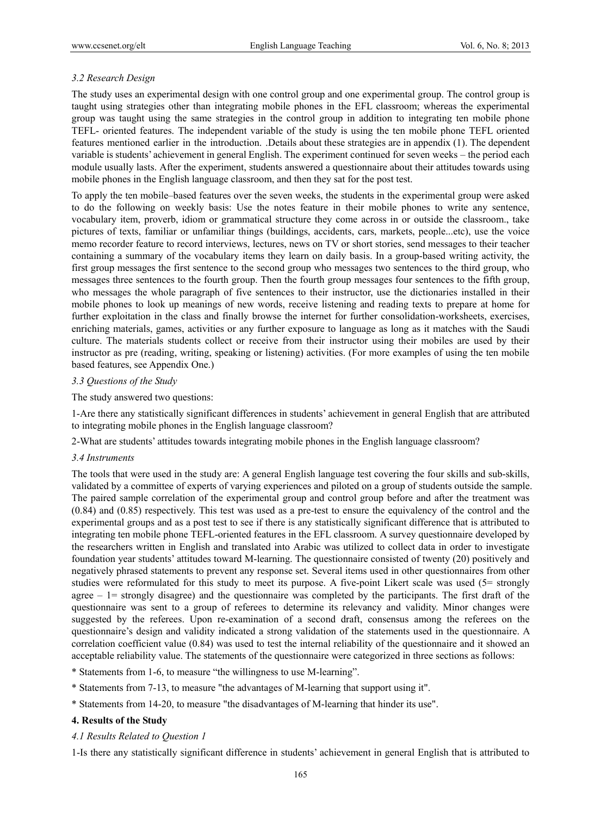## *3.2 Research Design*

The study uses an experimental design with one control group and one experimental group. The control group is taught using strategies other than integrating mobile phones in the EFL classroom; whereas the experimental group was taught using the same strategies in the control group in addition to integrating ten mobile phone TEFL- oriented features. The independent variable of the study is using the ten mobile phone TEFL oriented features mentioned earlier in the introduction. .Details about these strategies are in appendix (1). The dependent variable is students' achievement in general English. The experiment continued for seven weeks – the period each module usually lasts. After the experiment, students answered a questionnaire about their attitudes towards using mobile phones in the English language classroom, and then they sat for the post test.

To apply the ten mobile–based features over the seven weeks, the students in the experimental group were asked to do the following on weekly basis: Use the notes feature in their mobile phones to write any sentence, vocabulary item, proverb, idiom or grammatical structure they come across in or outside the classroom., take pictures of texts, familiar or unfamiliar things (buildings, accidents, cars, markets, people...etc), use the voice memo recorder feature to record interviews, lectures, news on TV or short stories, send messages to their teacher containing a summary of the vocabulary items they learn on daily basis. In a group-based writing activity, the first group messages the first sentence to the second group who messages two sentences to the third group, who messages three sentences to the fourth group. Then the fourth group messages four sentences to the fifth group, who messages the whole paragraph of five sentences to their instructor, use the dictionaries installed in their mobile phones to look up meanings of new words, receive listening and reading texts to prepare at home for further exploitation in the class and finally browse the internet for further consolidation-worksheets, exercises, enriching materials, games, activities or any further exposure to language as long as it matches with the Saudi culture. The materials students collect or receive from their instructor using their mobiles are used by their instructor as pre (reading, writing, speaking or listening) activities. (For more examples of using the ten mobile based features, see Appendix One.)

## *3.3 Questions of the Study*

The study answered two questions:

1-Are there any statistically significant differences in students' achievement in general English that are attributed to integrating mobile phones in the English language classroom?

2-What are students' attitudes towards integrating mobile phones in the English language classroom?

## *3.4 Instruments*

The tools that were used in the study are: A general English language test covering the four skills and sub-skills, validated by a committee of experts of varying experiences and piloted on a group of students outside the sample. The paired sample correlation of the experimental group and control group before and after the treatment was (0.84) and (0.85) respectively. This test was used as a pre-test to ensure the equivalency of the control and the experimental groups and as a post test to see if there is any statistically significant difference that is attributed to integrating ten mobile phone TEFL-oriented features in the EFL classroom. A survey questionnaire developed by the researchers written in English and translated into Arabic was utilized to collect data in order to investigate foundation year students' attitudes toward M-learning. The questionnaire consisted of twenty (20) positively and negatively phrased statements to prevent any response set. Several items used in other questionnaires from other studies were reformulated for this study to meet its purpose. A five-point Likert scale was used (5= strongly agree  $-1$  = strongly disagree) and the questionnaire was completed by the participants. The first draft of the questionnaire was sent to a group of referees to determine its relevancy and validity. Minor changes were suggested by the referees. Upon re-examination of a second draft, consensus among the referees on the questionnaire's design and validity indicated a strong validation of the statements used in the questionnaire. A correlation coefficient value (0.84) was used to test the internal reliability of the questionnaire and it showed an acceptable reliability value. The statements of the questionnaire were categorized in three sections as follows:

\* Statements from 1-6, to measure "the willingness to use M-learning".

- \* Statements from 7-13, to measure "the advantages of M-learning that support using it".
- \* Statements from 14-20, to measure "the disadvantages of M-learning that hinder its use".

#### **4. Results of the Study**

#### *4.1 Results Related to Question 1*

1-Is there any statistically significant difference in students' achievement in general English that is attributed to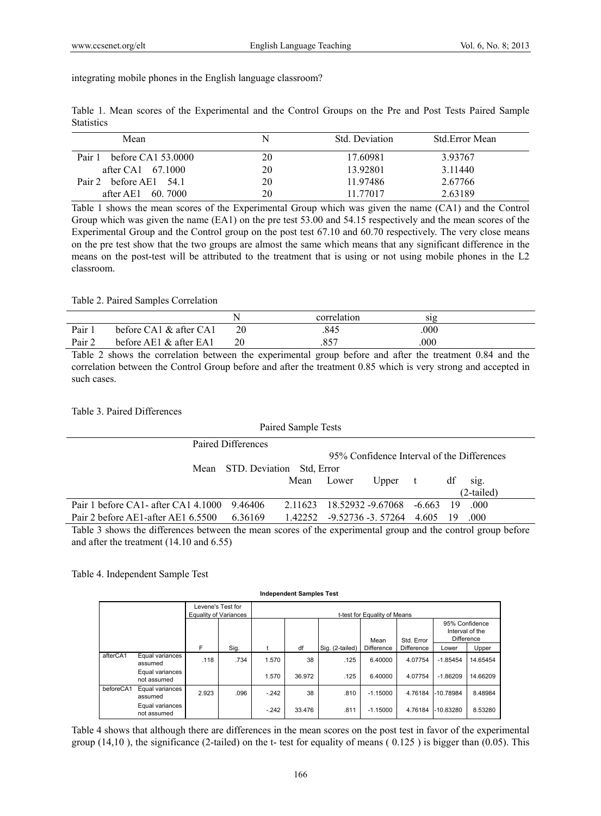integrating mobile phones in the English language classroom?

|                   |  | Table 1. Mean scores of the Experimental and the Control Groups on the Pre and Post Tests Paired Sample |  |  |  |  |  |  |
|-------------------|--|---------------------------------------------------------------------------------------------------------|--|--|--|--|--|--|
| <b>Statistics</b> |  |                                                                                                         |  |  |  |  |  |  |

| Mean                      | N  | <b>Std.</b> Deviation | Std.Error Mean |  |
|---------------------------|----|-----------------------|----------------|--|
| Pair 1 before CA1 53,0000 | 20 | 17.60981              | 3.93767        |  |
| after $CA1 \quad 67.1000$ | 20 | 13.92801              | 3.11440        |  |
| Pair 2 before AE1 54.1    | 20 | 11.97486              | 2.67766        |  |
| after $AE1 \quad 60.7000$ | 20 | 11 77017              | 2.63189        |  |

Table 1 shows the mean scores of the Experimental Group which was given the name (CA1) and the Control Group which was given the name (EA1) on the pre test 53.00 and 54.15 respectively and the mean scores of the Experimental Group and the Control group on the post test 67.10 and 60.70 respectively. The very close means on the pre test show that the two groups are almost the same which means that any significant difference in the means on the post-test will be attributed to the treatment that is using or not using mobile phones in the L2 classroom.

#### Table 2. Paired Samples Correlation

|        |                           |    | correlation | S19  |  |
|--------|---------------------------|----|-------------|------|--|
| Pair 1 | before CA1 & after CA1    |    | 845         | .000 |  |
| Pair 2 | before AE1 $\&$ after EA1 | 20 | .857        | 000  |  |

Table 2 shows the correlation between the experimental group before and after the treatment 0.84 and the correlation between the Control Group before and after the treatment 0.85 which is very strong and accepted in such cases.

## Table 3. Paired Differences

| Paired Sample Tests                 |                                            |            |                                  |         |       |              |  |  |  |  |  |
|-------------------------------------|--------------------------------------------|------------|----------------------------------|---------|-------|--------------|--|--|--|--|--|
| Paired Differences                  |                                            |            |                                  |         |       |              |  |  |  |  |  |
|                                     | 95% Confidence Interval of the Differences |            |                                  |         |       |              |  |  |  |  |  |
| Mean STD. Deviation<br>Std. Error   |                                            |            |                                  |         |       |              |  |  |  |  |  |
|                                     |                                            | Mean Lower |                                  | Upper t |       | df<br>sig.   |  |  |  |  |  |
|                                     |                                            |            |                                  |         |       | $(2-tailed)$ |  |  |  |  |  |
| Pair 1 before CA1- after CA1 4.1000 | 946406                                     |            | 2.11623 18.52932 -9.67068 -6.663 |         |       | .000<br>- 19 |  |  |  |  |  |
| Pair 2 before AE1-after AE1 6.5500  | 6.36169                                    |            | 1.42252 -9.52736 -3.57264        |         | 4.605 | .000<br>19   |  |  |  |  |  |

Table 3 shows the differences between the mean scores of the experimental group and the control group before and after the treatment (14.10 and 6.55)

## Table 4. Independent Sample Test

|           | <b>Independent Samples Test</b> |                              |                   |                                                                       |        |                 |            |            |                |          |  |  |  |
|-----------|---------------------------------|------------------------------|-------------------|-----------------------------------------------------------------------|--------|-----------------|------------|------------|----------------|----------|--|--|--|
|           |                                 | <b>Equality of Variances</b> | Levene's Test for | t-test for Equality of Means                                          |        |                 |            |            |                |          |  |  |  |
|           |                                 |                              |                   | 95% Confidence<br>Interval of the<br>Difference<br>Std. Error<br>Mean |        |                 |            |            |                |          |  |  |  |
|           |                                 | F                            | Sig.              |                                                                       | df     | Sig. (2-tailed) | Difference | Difference | Upper<br>Lower |          |  |  |  |
| afterCA1  | Equal variances<br>assumed      | .118                         | .734              | 1.570                                                                 | 38     | .125            | 6.40000    | 4.07754    | $-1.85454$     | 14.65454 |  |  |  |
|           | Equal variances<br>not assumed  |                              |                   | 1.570                                                                 | 36.972 | .125            | 6.40000    | 4.07754    | $-1.86209$     | 14.66209 |  |  |  |
| beforeCA1 | Equal variances<br>assumed      | 2.923                        | .096              | $-242$                                                                | 38     | .810            | $-1.15000$ | 4.76184    | -10.78984      | 8.48984  |  |  |  |
|           | Equal variances<br>not assumed  |                              |                   | $-242$                                                                | 33,476 | .811            | $-1.15000$ | 4.76184    | -10.83280      | 8.53280  |  |  |  |

Table 4 shows that although there are differences in the mean scores on the post test in favor of the experimental group  $(14,10)$ , the significance  $(2$ -tailed) on the t- test for equality of means  $(0.125)$  is bigger than  $(0.05)$ . This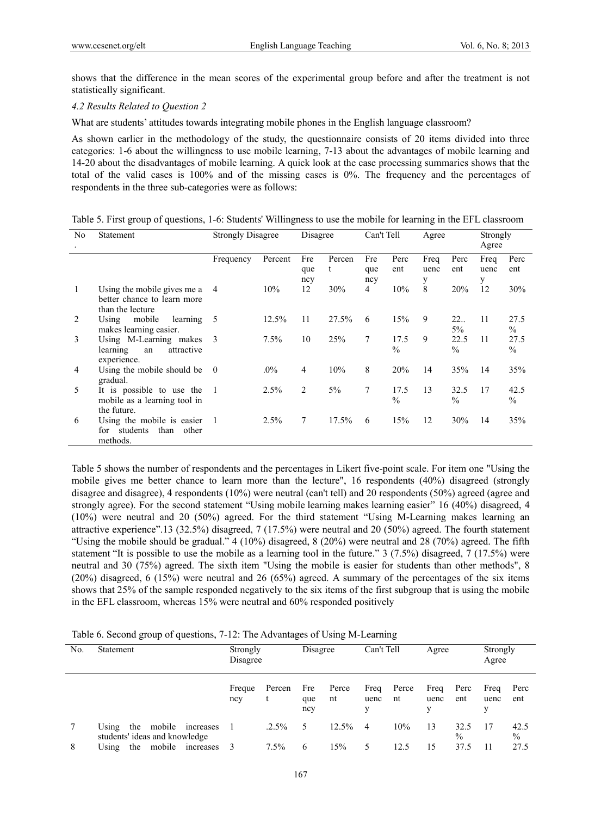shows that the difference in the mean scores of the experimental group before and after the treatment is not statistically significant.

## *4.2 Results Related to Question 2*

What are students' attitudes towards integrating mobile phones in the English language classroom?

As shown earlier in the methodology of the study, the questionnaire consists of 20 items divided into three categories: 1-6 about the willingness to use mobile learning, 7-13 about the advantages of mobile learning and 14-20 about the disadvantages of mobile learning. A quick look at the case processing summaries shows that the total of the valid cases is 100% and of the missing cases is 0%. The frequency and the percentages of respondents in the three sub-categories were as follows:

| Table 5. First group of questions, 1-6: Students' Willingness to use the mobile for learning in the EFL classroom |  |
|-------------------------------------------------------------------------------------------------------------------|--|
|-------------------------------------------------------------------------------------------------------------------|--|

| No            | Statement                                                                      | <b>Strongly Disagree</b> |         | Disagree          |             | Can't Tell        |                       | Agree             |                       | Strongly<br>Agree |                       |
|---------------|--------------------------------------------------------------------------------|--------------------------|---------|-------------------|-------------|-------------------|-----------------------|-------------------|-----------------------|-------------------|-----------------------|
|               |                                                                                | Frequency                | Percent | Fre<br>que<br>ncy | Percen<br>t | Fre<br>que<br>ncy | Perc<br>ent           | Freq<br>uenc<br>у | Perc<br>ent           | Freq<br>uenc<br>у | Perc<br>ent           |
| 1             | Using the mobile gives me a<br>better chance to learn more<br>than the lecture | 4                        | 10%     | 12                | 30%         | $\overline{4}$    | 10%                   | 8                 | 20%                   | 12                | 30%                   |
| 2             | mobile<br>Using<br>learning<br>makes learning easier.                          | -5                       | 12.5%   | 11                | 27.5%       | 6                 | 15%                   | 9                 | 22.<br>$5\%$          | 11                | 27.5<br>$\frac{0}{0}$ |
| $\mathcal{E}$ | Using M-Learning makes<br>attractive<br>learning<br>an<br>experience.          | 3                        | 7.5%    | 10                | 25%         | $\tau$            | 17.5<br>$\frac{0}{0}$ | 9                 | 22.5<br>$\frac{0}{0}$ | 11                | 27.5<br>$\frac{0}{0}$ |
| 4             | Using the mobile should be<br>gradual.                                         | $\theta$                 | $.0\%$  | 4                 | 10%         | 8                 | 20%                   | 14                | 35%                   | 14                | 35%                   |
| 5.            | It is possible to use the<br>mobile as a learning tool in<br>the future.       | 1                        | 2.5%    | 2                 | $5\%$       | $\tau$            | 17.5<br>$\frac{0}{0}$ | 13                | 32.5<br>$\frac{0}{0}$ | 17                | 42.5<br>$\frac{0}{0}$ |
| 6             | Using the mobile is easier<br>students<br>than<br>other<br>for<br>methods.     | -1                       | 2.5%    | 7                 | 17.5%       | 6                 | 15%                   | 12                | 30%                   | 14                | 35%                   |

Table 5 shows the number of respondents and the percentages in Likert five-point scale. For item one "Using the mobile gives me better chance to learn more than the lecture", 16 respondents (40%) disagreed (strongly disagree and disagree), 4 respondents (10%) were neutral (can't tell) and 20 respondents (50%) agreed (agree and strongly agree). For the second statement "Using mobile learning makes learning easier" 16 (40%) disagreed, 4 (10%) were neutral and 20 (50%) agreed. For the third statement "Using M-Learning makes learning an attractive experience".13 (32.5%) disagreed, 7 (17.5%) were neutral and 20 (50%) agreed. The fourth statement "Using the mobile should be gradual." 4 (10%) disagreed, 8 (20%) were neutral and 28 (70%) agreed. The fifth statement "It is possible to use the mobile as a learning tool in the future." 3 (7.5%) disagreed, 7 (17.5%) were neutral and 30 (75%) agreed. The sixth item "Using the mobile is easier for students than other methods", 8 (20%) disagreed, 6 (15%) were neutral and 26 (65%) agreed. A summary of the percentages of the six items shows that 25% of the sample responded negatively to the six items of the first subgroup that is using the mobile in the EFL classroom, whereas 15% were neutral and 60% responded positively

Table 6. Second group of questions, 7-12: The Advantages of Using M-Learning

| No.             | Statement                                                   | Strongly<br>Disagree |          |                   | Disagree    |                   | Can't Tell  |                   | Agree        |              | Strongly<br>Agree     |  |
|-----------------|-------------------------------------------------------------|----------------------|----------|-------------------|-------------|-------------------|-------------|-------------------|--------------|--------------|-----------------------|--|
|                 |                                                             | Freque<br>ncy        | Percen   | Fre<br>que<br>ncy | Perce<br>nt | Freq<br>uenc<br>V | Perce<br>nt | Freq<br>uenc<br>v | Perc<br>ent  | Freq<br>uenc | Perc<br>ent           |  |
| $7\overline{ }$ | Using the mobile increases<br>students' ideas and knowledge |                      | $.2.5\%$ | 5                 | $12.5\%$    | 4                 | 10%         | 13                | 32.5<br>$\%$ | 17           | 42.5<br>$\frac{0}{0}$ |  |
| 8               | mobile<br>Using<br>the<br>increases                         |                      | $7.5\%$  | 6                 | 15%         | 5.                | 12.5        | 15                | 37.5         | 11           | 27.5                  |  |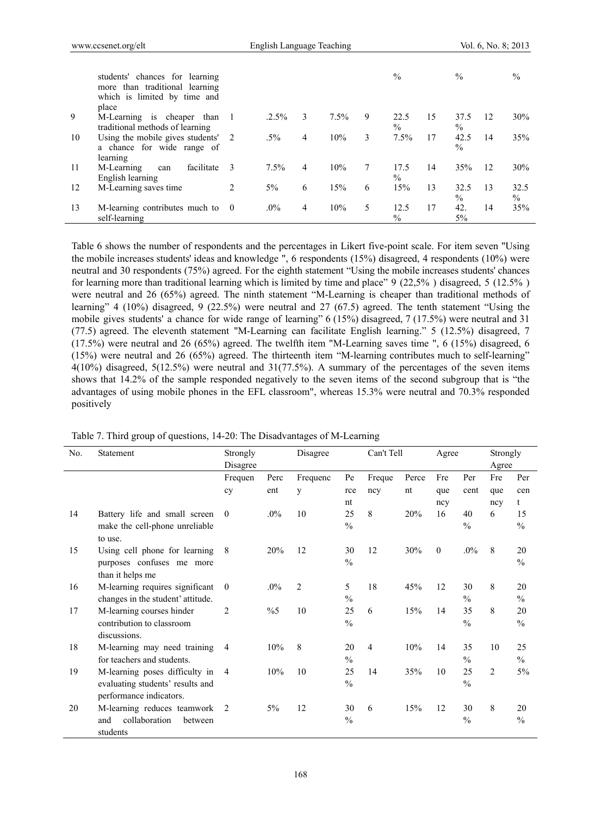|    | students' chances for learning<br>more than traditional learning<br>which is limited by time and<br>place |     |        |   |      |   | $\frac{0}{0}$         |    | $\frac{0}{0}$ |    | $\frac{0}{0}$ |
|----|-----------------------------------------------------------------------------------------------------------|-----|--------|---|------|---|-----------------------|----|---------------|----|---------------|
| 9  | M-Learning is cheaper<br>than<br>traditional methods of learning                                          |     | .2.5%  | 3 | 7.5% | 9 | 22.5<br>$\%$          | 15 | 37.5<br>$\%$  | 12 | 30%           |
| 10 | Using the mobile gives students'<br>a chance for wide range of<br>learning                                | -2  | .5%    | 4 | 10%  | 3 | 7.5%                  | 17 | 42.5<br>$\%$  | 14 | 35%           |
| 11 | facilitate<br>M-Learning<br>can<br>English learning                                                       | 3   | 7.5%   | 4 | 10%  |   | 17.5<br>$\frac{0}{0}$ | 14 | 35%           | 12 | 30%           |
| 12 | M-Learning saves time.                                                                                    | 2   | 5%     | 6 | 15%  | 6 | 15%                   | 13 | 32.5<br>$\%$  | 13 | 32.5<br>$\%$  |
| 13 | M-learning contributes much to<br>self-learning                                                           | - 0 | $.0\%$ | 4 | 10%  | 5 | 12.5<br>$\frac{0}{0}$ | 17 | 42.<br>$5\%$  | 14 | 35%           |

Table 6 shows the number of respondents and the percentages in Likert five-point scale. For item seven "Using the mobile increases students' ideas and knowledge ", 6 respondents (15%) disagreed, 4 respondents (10%) were neutral and 30 respondents (75%) agreed. For the eighth statement "Using the mobile increases students' chances for learning more than traditional learning which is limited by time and place" 9 (22,5% ) disagreed, 5 (12.5% ) were neutral and 26 (65%) agreed. The ninth statement "M-Learning is cheaper than traditional methods of learning" 4 (10%) disagreed, 9 (22.5%) were neutral and 27 (67.5) agreed. The tenth statement "Using the mobile gives students' a chance for wide range of learning" 6 (15%) disagreed, 7 (17.5%) were neutral and 31 (77.5) agreed. The eleventh statement "M-Learning can facilitate English learning." 5 (12.5%) disagreed, 7 (17.5%) were neutral and 26 (65%) agreed. The twelfth item "M-Learning saves time ", 6 (15%) disagreed, 6 (15%) were neutral and 26 (65%) agreed. The thirteenth item "M-learning contributes much to self-learning" 4(10%) disagreed, 5(12.5%) were neutral and 31(77.5%). A summary of the percentages of the seven items shows that 14.2% of the sample responded negatively to the seven items of the second subgroup that is "the advantages of using mobile phones in the EFL classroom", whereas 15.3% were neutral and 70.3% responded positively

| No. | Statement                         | Strongly       |        | Disagree       |               | Can't Tell | Agree |          |               | Strongly       |               |
|-----|-----------------------------------|----------------|--------|----------------|---------------|------------|-------|----------|---------------|----------------|---------------|
|     |                                   | Disagree       |        |                |               |            |       |          |               |                | Agree         |
|     |                                   | Frequen        | Perc   | Frequenc       | Pe            | Freque     | Perce | Fre      | Per           | Fre            | Per           |
|     |                                   | cy             | ent    | y              | rce           | ncy        | nt    | que      | cent          | que            | cen           |
|     |                                   |                |        |                | nt            |            |       | ncy      |               | ncy            | t             |
| 14  | Battery life and small screen     | $\theta$       | $.0\%$ | 10             | 25            | 8          | 20%   | 16       | 40            | 6              | 15            |
|     | make the cell-phone unreliable    |                |        |                | $\frac{0}{0}$ |            |       |          | $\frac{0}{0}$ |                | $\frac{0}{0}$ |
|     | to use.                           |                |        |                |               |            |       |          |               |                |               |
| 15  | Using cell phone for learning     | 8              | 20%    | 12             | 30            | 12         | 30%   | $\theta$ | $.0\%$        | 8              | 20            |
|     | purposes confuses me more         |                |        |                | $\frac{0}{0}$ |            |       |          |               |                | $\frac{0}{0}$ |
|     | than it helps me                  |                |        |                |               |            |       |          |               |                |               |
| 16  | M-learning requires significant   | $\theta$       | $.0\%$ | $\overline{2}$ | 5             | 18         | 45%   | 12       | 30            | 8              | 20            |
|     | changes in the student' attitude. |                |        |                | $\frac{0}{0}$ |            |       |          | $\frac{0}{0}$ |                | $\frac{0}{0}$ |
| 17  | M-learning courses hinder         | 2              | $\%5$  | 10             | 25            | 6          | 15%   | 14       | 35            | 8              | 20            |
|     | contribution to classroom         |                |        |                | $\frac{0}{0}$ |            |       |          | $\frac{0}{0}$ |                | $\frac{0}{0}$ |
|     | discussions.                      |                |        |                |               |            |       |          |               |                |               |
| 18  | M-learning may need training      | $\overline{4}$ | 10%    | 8              | 20            | 4          | 10%   | 14       | 35            | 10             | 25            |
|     | for teachers and students.        |                |        |                | $\frac{0}{0}$ |            |       |          | $\frac{0}{0}$ |                | $\frac{0}{0}$ |
| 19  | M-learning poses difficulty in    | $\overline{4}$ | 10%    | 10             | 25            | 14         | 35%   | 10       | 25            | $\overline{2}$ | 5%            |
|     | evaluating students' results and  |                |        |                | $\frac{0}{0}$ |            |       |          | $\frac{0}{0}$ |                |               |
|     | performance indicators.           |                |        |                |               |            |       |          |               |                |               |
| 20  | M-learning reduces teamwork       | - 2            | $5\%$  | 12             | 30            | 6          | 15%   | 12       | 30            | 8              | 20            |
|     | collaboration<br>between<br>and   |                |        |                | $\frac{0}{0}$ |            |       |          | $\frac{0}{0}$ |                | $\frac{0}{0}$ |
|     | students                          |                |        |                |               |            |       |          |               |                |               |

Table 7. Third group of questions, 14-20: The Disadvantages of M-Learning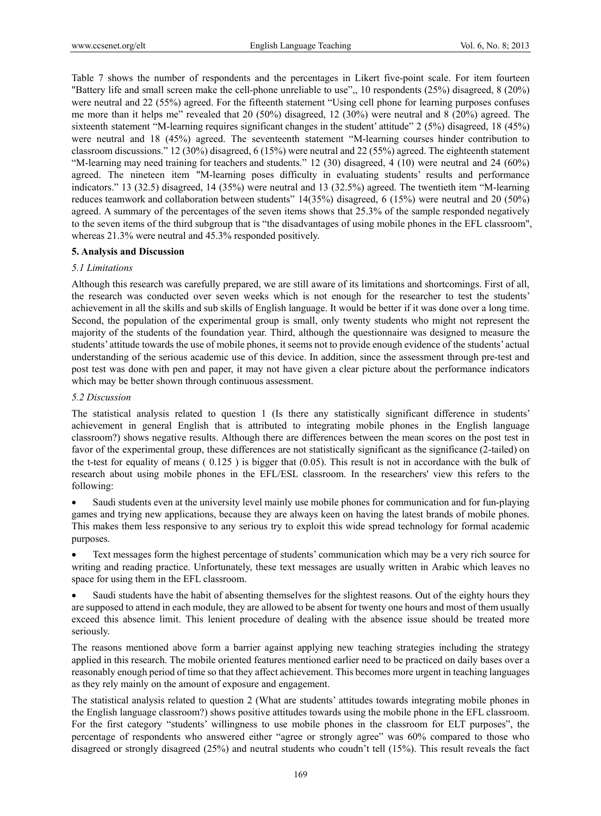Table 7 shows the number of respondents and the percentages in Likert five-point scale. For item fourteen "Battery life and small screen make the cell-phone unreliable to use",, 10 respondents (25%) disagreed, 8 (20%) were neutral and 22 (55%) agreed. For the fifteenth statement "Using cell phone for learning purposes confuses me more than it helps me" revealed that 20 (50%) disagreed, 12 (30%) were neutral and 8 (20%) agreed. The sixteenth statement "M-learning requires significant changes in the student' attitude" 2 (5%) disagreed, 18 (45%) were neutral and 18 (45%) agreed. The seventeenth statement "M-learning courses hinder contribution to classroom discussions." 12 (30%) disagreed, 6 (15%) were neutral and 22 (55%) agreed. The eighteenth statement "M-learning may need training for teachers and students." 12 (30) disagreed, 4 (10) were neutral and 24 (60%) agreed. The nineteen item "M-learning poses difficulty in evaluating students' results and performance indicators." 13 (32.5) disagreed, 14 (35%) were neutral and 13 (32.5%) agreed. The twentieth item "M-learning reduces teamwork and collaboration between students" 14(35%) disagreed, 6 (15%) were neutral and 20 (50%) agreed. A summary of the percentages of the seven items shows that 25.3% of the sample responded negatively to the seven items of the third subgroup that is "the disadvantages of using mobile phones in the EFL classroom", whereas 21.3% were neutral and 45.3% responded positively.

# **5. Analysis and Discussion**

## *5.1 Limitations*

Although this research was carefully prepared, we are still aware of its limitations and shortcomings. First of all, the research was conducted over seven weeks which is not enough for the researcher to test the students' achievement in all the skills and sub skills of English language. It would be better if it was done over a long time. Second, the population of the experimental group is small, only twenty students who might not represent the majority of the students of the foundation year. Third, although the questionnaire was designed to measure the students' attitude towards the use of mobile phones, it seems not to provide enough evidence of the students' actual understanding of the serious academic use of this device. In addition, since the assessment through pre-test and post test was done with pen and paper, it may not have given a clear picture about the performance indicators which may be better shown through continuous assessment.

## *5.2 Discussion*

The statistical analysis related to question 1 (Is there any statistically significant difference in students' achievement in general English that is attributed to integrating mobile phones in the English language classroom?) shows negative results. Although there are differences between the mean scores on the post test in favor of the experimental group, these differences are not statistically significant as the significance (2-tailed) on the t-test for equality of means ( 0.125 ) is bigger that (0.05). This result is not in accordance with the bulk of research about using mobile phones in the EFL/ESL classroom. In the researchers' view this refers to the following:

 Saudi students even at the university level mainly use mobile phones for communication and for fun-playing games and trying new applications, because they are always keen on having the latest brands of mobile phones. This makes them less responsive to any serious try to exploit this wide spread technology for formal academic purposes.

 Text messages form the highest percentage of students' communication which may be a very rich source for writing and reading practice. Unfortunately, these text messages are usually written in Arabic which leaves no space for using them in the EFL classroom.

 Saudi students have the habit of absenting themselves for the slightest reasons. Out of the eighty hours they are supposed to attend in each module, they are allowed to be absent for twenty one hours and most of them usually exceed this absence limit. This lenient procedure of dealing with the absence issue should be treated more seriously.

The reasons mentioned above form a barrier against applying new teaching strategies including the strategy applied in this research. The mobile oriented features mentioned earlier need to be practiced on daily bases over a reasonably enough period of time so that they affect achievement. This becomes more urgent in teaching languages as they rely mainly on the amount of exposure and engagement.

The statistical analysis related to question 2 (What are students' attitudes towards integrating mobile phones in the English language classroom?) shows positive attitudes towards using the mobile phone in the EFL classroom. For the first category "students' willingness to use mobile phones in the classroom for ELT purposes", the percentage of respondents who answered either "agree or strongly agree" was 60% compared to those who disagreed or strongly disagreed (25%) and neutral students who coudn't tell (15%). This result reveals the fact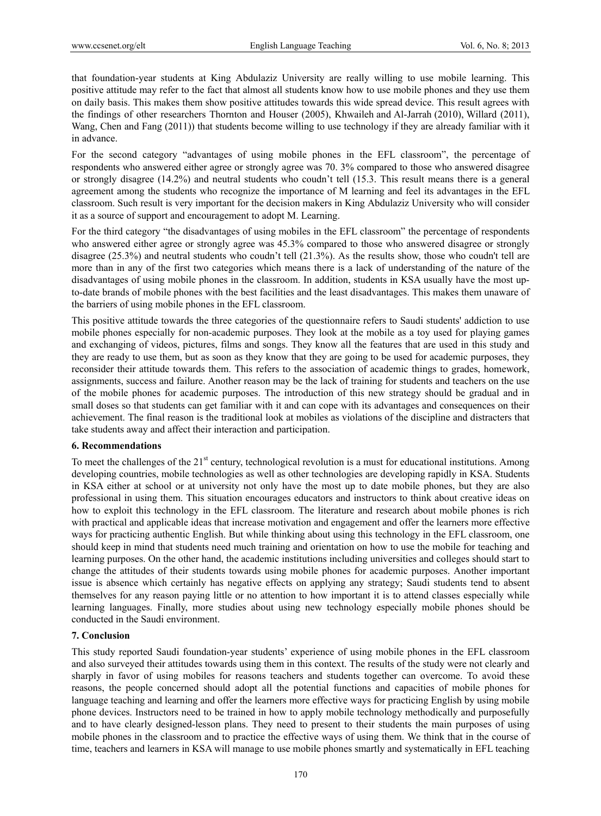that foundation-year students at King Abdulaziz University are really willing to use mobile learning. This positive attitude may refer to the fact that almost all students know how to use mobile phones and they use them on daily basis. This makes them show positive attitudes towards this wide spread device. This result agrees with the findings of other researchers Thornton and Houser (2005), Khwaileh and Al-Jarrah (2010), Willard (2011), Wang, Chen and Fang (2011)) that students become willing to use technology if they are already familiar with it in advance.

For the second category "advantages of using mobile phones in the EFL classroom", the percentage of respondents who answered either agree or strongly agree was 70. 3% compared to those who answered disagree or strongly disagree (14.2%) and neutral students who coudn't tell (15.3. This result means there is a general agreement among the students who recognize the importance of M learning and feel its advantages in the EFL classroom. Such result is very important for the decision makers in King Abdulaziz University who will consider it as a source of support and encouragement to adopt M. Learning.

For the third category "the disadvantages of using mobiles in the EFL classroom" the percentage of respondents who answered either agree or strongly agree was 45.3% compared to those who answered disagree or strongly disagree (25.3%) and neutral students who coudn't tell (21.3%). As the results show, those who coudn't tell are more than in any of the first two categories which means there is a lack of understanding of the nature of the disadvantages of using mobile phones in the classroom. In addition, students in KSA usually have the most upto-date brands of mobile phones with the best facilities and the least disadvantages. This makes them unaware of the barriers of using mobile phones in the EFL classroom.

This positive attitude towards the three categories of the questionnaire refers to Saudi students' addiction to use mobile phones especially for non-academic purposes. They look at the mobile as a toy used for playing games and exchanging of videos, pictures, films and songs. They know all the features that are used in this study and they are ready to use them, but as soon as they know that they are going to be used for academic purposes, they reconsider their attitude towards them. This refers to the association of academic things to grades, homework, assignments, success and failure. Another reason may be the lack of training for students and teachers on the use of the mobile phones for academic purposes. The introduction of this new strategy should be gradual and in small doses so that students can get familiar with it and can cope with its advantages and consequences on their achievement. The final reason is the traditional look at mobiles as violations of the discipline and distracters that take students away and affect their interaction and participation.

#### **6. Recommendations**

To meet the challenges of the 21<sup>st</sup> century, technological revolution is a must for educational institutions. Among developing countries, mobile technologies as well as other technologies are developing rapidly in KSA. Students in KSA either at school or at university not only have the most up to date mobile phones, but they are also professional in using them. This situation encourages educators and instructors to think about creative ideas on how to exploit this technology in the EFL classroom. The literature and research about mobile phones is rich with practical and applicable ideas that increase motivation and engagement and offer the learners more effective ways for practicing authentic English. But while thinking about using this technology in the EFL classroom, one should keep in mind that students need much training and orientation on how to use the mobile for teaching and learning purposes. On the other hand, the academic institutions including universities and colleges should start to change the attitudes of their students towards using mobile phones for academic purposes. Another important issue is absence which certainly has negative effects on applying any strategy; Saudi students tend to absent themselves for any reason paying little or no attention to how important it is to attend classes especially while learning languages. Finally, more studies about using new technology especially mobile phones should be conducted in the Saudi environment.

#### **7. Conclusion**

This study reported Saudi foundation-year students' experience of using mobile phones in the EFL classroom and also surveyed their attitudes towards using them in this context. The results of the study were not clearly and sharply in favor of using mobiles for reasons teachers and students together can overcome. To avoid these reasons, the people concerned should adopt all the potential functions and capacities of mobile phones for language teaching and learning and offer the learners more effective ways for practicing English by using mobile phone devices. Instructors need to be trained in how to apply mobile technology methodically and purposefully and to have clearly designed-lesson plans. They need to present to their students the main purposes of using mobile phones in the classroom and to practice the effective ways of using them. We think that in the course of time, teachers and learners in KSA will manage to use mobile phones smartly and systematically in EFL teaching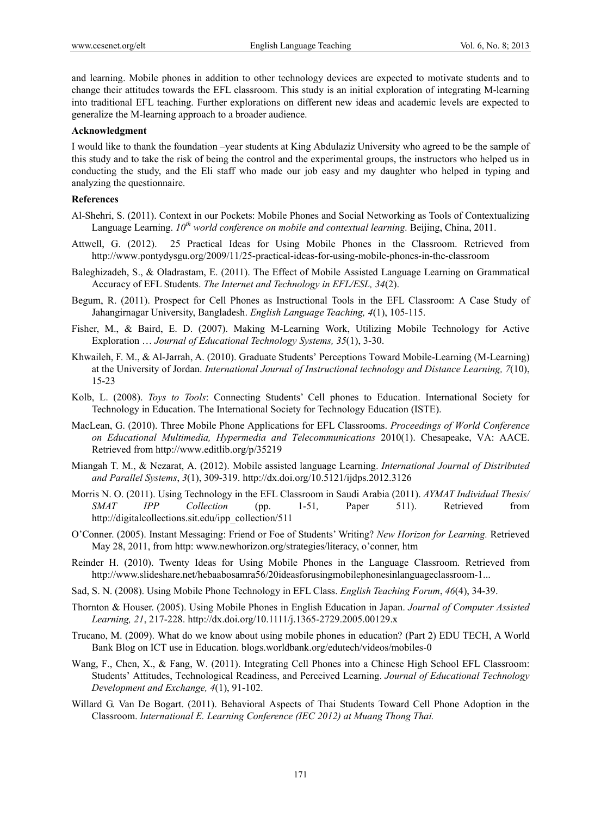and learning. Mobile phones in addition to other technology devices are expected to motivate students and to change their attitudes towards the EFL classroom. This study is an initial exploration of integrating M-learning into traditional EFL teaching. Further explorations on different new ideas and academic levels are expected to generalize the M-learning approach to a broader audience.

#### **Acknowledgment**

I would like to thank the foundation –year students at King Abdulaziz University who agreed to be the sample of this study and to take the risk of being the control and the experimental groups, the instructors who helped us in conducting the study, and the Eli staff who made our job easy and my daughter who helped in typing and analyzing the questionnaire.

## **References**

- Al-Shehri, S. (2011). Context in our Pockets: Mobile Phones and Social Networking as Tools of Contextualizing Language Learning. *10th world conference on mobile and contextual learning.* Beijing, China, 2011.
- Attwell, G. (2012). 25 Practical Ideas for Using Mobile Phones in the Classroom. Retrieved from http://www.pontydysgu.org/2009/11/25-practical-ideas-for-using-mobile-phones-in-the-classroom
- Baleghizadeh, S., & Oladrastam, E. (2011). The Effect of Mobile Assisted Language Learning on Grammatical Accuracy of EFL Students. *The Internet and Technology in EFL/ESL, 34*(2).
- Begum, R. (2011). Prospect for Cell Phones as Instructional Tools in the EFL Classroom: A Case Study of Jahangirnagar University, Bangladesh. *English Language Teaching, 4*(1), 105-115.
- Fisher, M., & Baird, E. D. (2007). Making M-Learning Work, Utilizing Mobile Technology for Active Exploration … *Journal of Educational Technology Systems, 35*(1), 3-30.
- Khwaileh, F. M., & Al-Jarrah, A. (2010). Graduate Students' Perceptions Toward Mobile-Learning (M-Learning) at the University of Jordan. *International Journal of Instructional technology and Distance Learning, 7*(10), 15-23
- Kolb, L. (2008). *Toys to Tools*: Connecting Students' Cell phones to Education. International Society for Technology in Education. The International Society for Technology Education (ISTE).
- MacLean, G. (2010). Three Mobile Phone Applications for EFL Classrooms. *Proceedings of World Conference on Educational Multimedia, Hypermedia and Telecommunications* 2010(1). Chesapeake, VA: AACE. Retrieved from http://www.editlib.org/p/35219
- Miangah T. M., & Nezarat, A. (2012). Mobile assisted language Learning. *International Journal of Distributed and Parallel Systems*, *3*(1), 309-319. http://dx.doi.org/10.5121/ijdps.2012.3126
- Morris N. O. (2011). Using Technology in the EFL Classroom in Saudi Arabia (2011). *AYMAT Individual Thesis/ SMAT IPP Collection* (pp. 1-51*,* Paper 511). Retrieved from http://digitalcollections.sit.edu/ipp\_collection/511
- O'Conner. (2005). Instant Messaging: Friend or Foe of Students' Writing? *New Horizon for Learning.* Retrieved May 28, 2011, from http: www.newhorizon.org/strategies/literacy, o'conner, htm
- Reinder H. (2010). Twenty Ideas for Using Mobile Phones in the Language Classroom. Retrieved from http://www.slideshare.net/hebaabosamra56/20ideasforusingmobilephonesinlanguageclassroom-1...
- Sad, S. N. (2008). Using Mobile Phone Technology in EFL Class. *English Teaching Forum*, *46*(4), 34-39.
- Thornton & Houser. (2005). Using Mobile Phones in English Education in Japan. *Journal of Computer Assisted Learning, 21*, 217-228. http://dx.doi.org/10.1111/j.1365-2729.2005.00129.x
- Trucano, M. (2009). What do we know about using mobile phones in education? (Part 2) EDU TECH, A World Bank Blog on ICT use in Education. blogs.worldbank.org/edutech/videos/mobiles-0
- Wang, F., Chen, X., & Fang, W. (2011). Integrating Cell Phones into a Chinese High School EFL Classroom: Students' Attitudes, Technological Readiness, and Perceived Learning. *Journal of Educational Technology Development and Exchange, 4*(1), 91-102.
- Willard G. Van De Bogart. (2011). Behavioral Aspects of Thai Students Toward Cell Phone Adoption in the Classroom. *International E. Learning Conference (IEC 2012) at Muang Thong Thai.*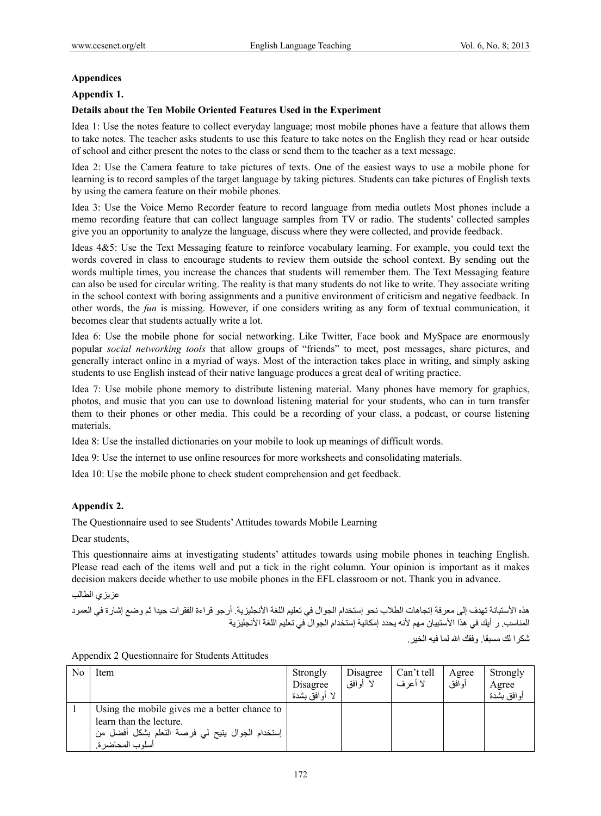# **Appendices**

## **Appendix 1.**

## **Details about the Ten Mobile Oriented Features Used in the Experiment**

Idea 1: Use the notes feature to collect everyday language; most mobile phones have a feature that allows them to take notes. The teacher asks students to use this feature to take notes on the English they read or hear outside of school and either present the notes to the class or send them to the teacher as a text message.

Idea 2: Use the Camera feature to take pictures of texts. One of the easiest ways to use a mobile phone for learning is to record samples of the target language by taking pictures. Students can take pictures of English texts by using the camera feature on their mobile phones.

Idea 3: Use the Voice Memo Recorder feature to record language from media outlets Most phones include a memo recording feature that can collect language samples from TV or radio. The students' collected samples give you an opportunity to analyze the language, discuss where they were collected, and provide feedback.

Ideas 4&5: Use the Text Messaging feature to reinforce vocabulary learning. For example, you could text the words covered in class to encourage students to review them outside the school context. By sending out the words multiple times, you increase the chances that students will remember them. The Text Messaging feature can also be used for circular writing. The reality is that many students do not like to write. They associate writing in the school context with boring assignments and a punitive environment of criticism and negative feedback. In other words, the *fun* is missing. However, if one considers writing as any form of textual communication, it becomes clear that students actually write a lot.

Idea 6: Use the mobile phone for social networking. Like Twitter, Face book and MySpace are enormously popular *social networking tools* that allow groups of "friends" to meet, post messages, share pictures, and generally interact online in a myriad of ways. Most of the interaction takes place in writing, and simply asking students to use English instead of their native language produces a great deal of writing practice.

Idea 7: Use mobile phone memory to distribute listening material. Many phones have memory for graphics, photos, and music that you can use to download listening material for your students, who can in turn transfer them to their phones or other media. This could be a recording of your class, a podcast, or course listening materials.

Idea 8: Use the installed dictionaries on your mobile to look up meanings of difficult words.

Idea 9: Use the internet to use online resources for more worksheets and consolidating materials.

Idea 10: Use the mobile phone to check student comprehension and get feedback.

# **Appendix 2.**

The Questionnaire used to see Students' Attitudes towards Mobile Learning

Dear students,

This questionnaire aims at investigating students' attitudes towards using mobile phones in teaching English. Please read each of the items well and put a tick in the right column. Your opinion is important as it makes decision makers decide whether to use mobile phones in the EFL classroom or not. Thank you in advance.

عزيزي الطالب

هذه الأستبانة تهدف إلى معرفة إتجاهات الطلاب نحو إستخدام الجوال في تعليم اللغة الأنجليزية. أرجو قراءة الفقرات جيدا ثم وضع إشارة في العمود المناسب. ر أيك في هذا الأستبيان مهم لأنه يحدد إمكانية إستخدام الجوال في تعليم اللغة الأنجليزية

شكرا لك مسبقا. وفقك االله لما فيه الخير.

| N <sub>0</sub> | Item                                                                                                                                          | Strongly<br>Disagree<br>لا أوافق بشدة | Disagree<br>لا أو افق | Can't tell<br>لا أعرف | Agree<br>أوافق | Strongly<br>Agree<br>أو افق بشدة |
|----------------|-----------------------------------------------------------------------------------------------------------------------------------------------|---------------------------------------|-----------------------|-----------------------|----------------|----------------------------------|
|                | Using the mobile gives me a better chance to<br>learn than the lecture.<br>إستخدام الجوال يتيح لي فرصة التعلم بشكل أفضل من<br>أسلوب المحاضرة. |                                       |                       |                       |                |                                  |

## Appendix 2 Questionnaire for Students Attitudes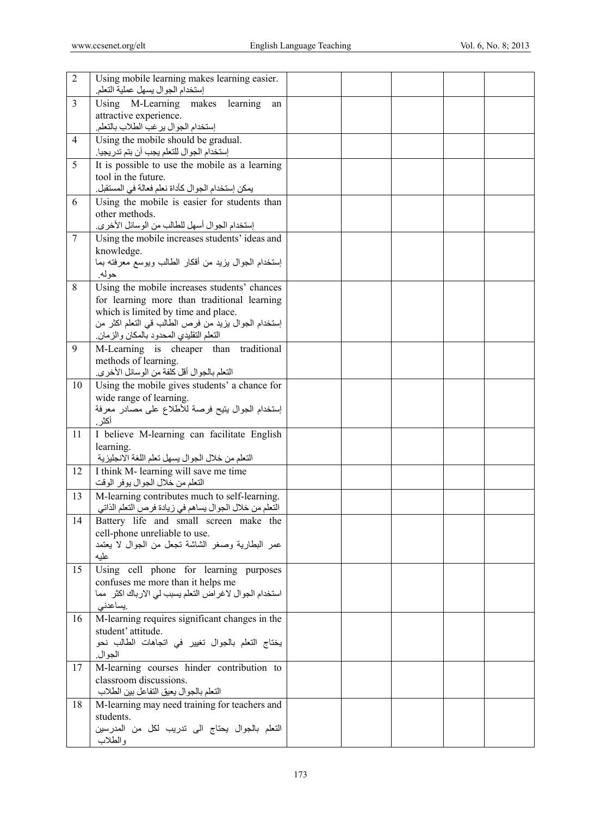| $\overline{2}$ | Using mobile learning makes learning easier.<br>إستخدام الجوال يسهل عملية التعلم                                                                                                                                                     |  |  |  |
|----------------|--------------------------------------------------------------------------------------------------------------------------------------------------------------------------------------------------------------------------------------|--|--|--|
| 3              | Using M-Learning makes<br>learning<br>an<br>attractive experience.<br>إستخدام الجوال يرغب الطلاب بالتعلم                                                                                                                             |  |  |  |
| 4              | Using the mobile should be gradual.<br>إستخدام الجوال للتعلم يجب أن بتم تدريجيا.                                                                                                                                                     |  |  |  |
| 5              | It is possible to use the mobile as a learning<br>tool in the future.<br>يمكن إستخدام الجوال كأداة نعلم فعالة في المستقبل                                                                                                            |  |  |  |
| 6              | Using the mobile is easier for students than<br>other methods.<br>إستخدام الجوال أسهل للطالب من الوسائل الأخرى.                                                                                                                      |  |  |  |
| 7              | Using the mobile increases students' ideas and<br>knowledge.<br>إستخدام الجوال يزيد من أقكار الطالب ويوسع معرفته بما<br>حوله.                                                                                                        |  |  |  |
| 8              | Using the mobile increases students' chances<br>for learning more than traditional learning<br>which is limited by time and place.<br>إستخدام الجوال يزيد من فرص الطالب في التعلم اكثر من<br>التعلم التقليدي المحدود بالمكان والزمان |  |  |  |
| 9              | M-Learning is cheaper than<br>traditional<br>methods of learning.<br>التعلم بالجوال أقل كلفة من الوسائل الأخرى.                                                                                                                      |  |  |  |
| 10             | Using the mobile gives students' a chance for<br>wide range of learning.<br>إستخدام الجوال يتيح فرصة للأطلاع على مصادر معرفة<br>أكثر                                                                                                 |  |  |  |
| 11             | I believe M-learning can facilitate English<br>learning.<br>التعلم من خلال الجوال يسهل تعلم اللغة الانجليزية                                                                                                                         |  |  |  |
| 12             | I think M- learning will save me time<br>التعلم من خلال الجوال يوفر الوقت                                                                                                                                                            |  |  |  |
| 13             | M-learning contributes much to self-learning.<br>التعلم من خلال الجوال يساهم في زيادة فرص التعلم الذاتي                                                                                                                              |  |  |  |
| 14             | Battery life and small screen make the<br>cell-phone unreliable to use.<br>عمر البطارية وصغر الشاشة نجعل من الجوال لا يعتمد<br>عليه                                                                                                  |  |  |  |
| 15             | Using cell phone for learning purposes<br>confuses me more than it helps me<br>استخدام الجوال لاغراض التعلم يسبب لي الارباك اكثر _مما<br>يساعدني                                                                                     |  |  |  |
| 16             | M-learning requires significant changes in the<br>student' attitude.<br>يختاج التعلم بالجوال تغيير في اتجاهات الطالب نحو<br>الجوال.                                                                                                  |  |  |  |
| 17             | M-learning courses hinder contribution to<br>classroom discussions.<br>التعلم بالجوال يعيق التفاعل بين الطلاب                                                                                                                        |  |  |  |
| 18             | M-learning may need training for teachers and<br>students.<br>التعلم بالجوال يحتاج الى تدريب لكل من المدرسين<br>والطلاب                                                                                                              |  |  |  |